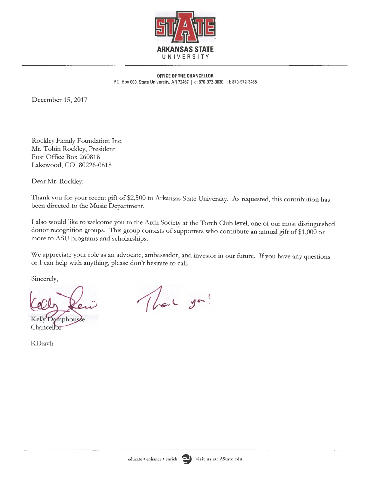

**OFFICE OF THE CHANCELLOR**  P.O. Box 600, State University, AR 72467 | o: 870-972-3030 | f: 870-972-3465

December 15, 2017

Rockley Family Foundation Inc. Mr. Tobin Rockley, President Post Office Box 260818 Lakewood, CO 80226-0818

Dear Mr. Rockley:

Thank you for your recent gift of \$2,500 to Arkansas State University. As requested, this contribution has been directed to the Music Department.

I also would like to welcome you to the Arch Society at the Torch Club level, one of our most distinguished donor recognition groups. This group consists of supporters who contribute an annual gift of \$1,000 or more to ASU programs and scholarships.

We appreciate your role as an advocate, ambassador, and investor in our future. If you have any questions or I can help with anything, please don't hesitate to call.

Sincerely,

Kelly Damphouse Chancellor

KD:avh

That you!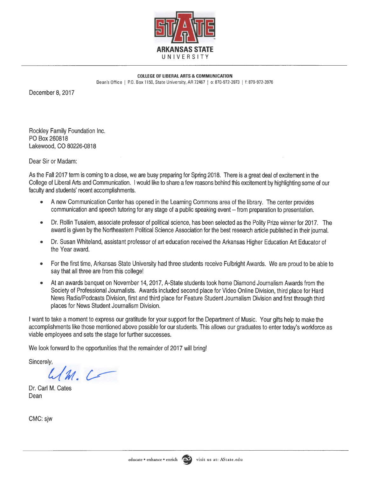

**COLLEGE OF LIBERAL ARTS** & **COMMUNICATION**  Dean's Office | P.O. Box 1150, State University, AR 72467 | o: 870-972-3973 | f: 870-972-3976

December 8, 2017

Rockley Family Foundation Inc. PO Box 260818 Lakewood, CO 80226-0818

Dear Sir or Madam:

As the Fall 2017 term is coming to a close, we are busy preparing for Spring 2018. There is a great deal of excitement in the College of Liberal Arts and Communication. I would like to share a few reasons behind this excitement by highlighting some of our faculty and students' recent accomplishments.

- A new Communication Center has opened in the Learning Commons area of the library. The center provides communication and speech tutoring for any stage of a public speaking event -- from preparation to presentation.
- Dr. Rollin Tusalem, associate professor of political science, has been selected as the Polity Prize winner for 2017. The award is given by the Northeastern Political Science Association for the best research article published in their journal.
- Dr. Susan Whiteland, assistant professor of art education received the Arkansas Higher Education Art Educator of the Year award.
- For the first time, Arkansas State University had three students receive Fulbright Awards. We are proud to be able to say that all three are from this college!
- At an awards banquet on November 14, 2017, A-State students took home Diamond Journalism Awards from the Society of Professional Journalists. Awards included second place for Video Online Division, third place for Hard News Radio/Podcasts Division, first and third place for Feature Student Journalism Division and first through third places for News Student Journalism Division.

I want to take a moment to express our gratitude for your support for the Department of Music. Your gifts help to make the accomplishments like those mentioned above possible for our students. This allows our graduates to enter today's workforce as viable employees and sets the stage for further successes.

We look forward to the opportunities that the remainder of 2017 will bring!

Sincerely,

 $M.$ 

Dr. Carl M. Cates Dean

CMC: sjw